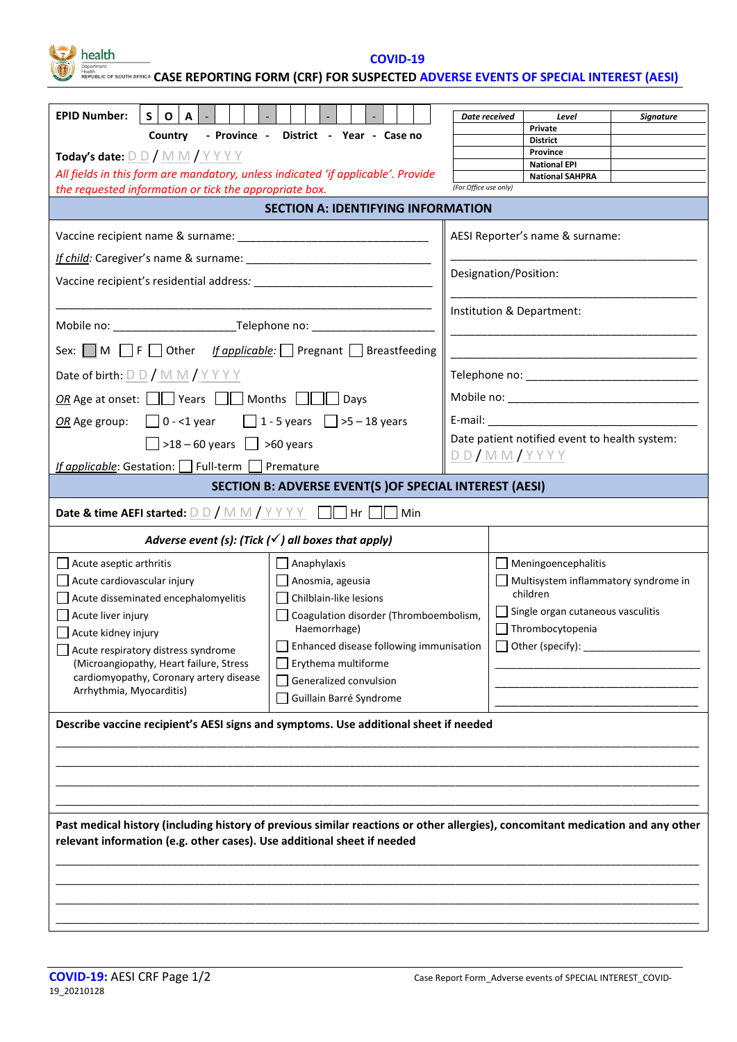health

**COVID-19**

Resputiment:<br>Republic of south africa CASE REPORTING FORM (CRF) FOR SUSPECTED <mark>ADVERSE EVENTS OF SPECIAL INTEREST (AESI)</mark>

| <b>EPID Number:</b><br>$S$   O<br>l A I                                                                                                                                                                    |                                                                    |                             |                                                       | Level |           |  |  |  |  |  |
|------------------------------------------------------------------------------------------------------------------------------------------------------------------------------------------------------------|--------------------------------------------------------------------|-----------------------------|-------------------------------------------------------|-------|-----------|--|--|--|--|--|
|                                                                                                                                                                                                            | Country - Province - District - Year - Case no                     | Date received               | Private                                               |       | Signature |  |  |  |  |  |
|                                                                                                                                                                                                            |                                                                    | <b>District</b><br>Province |                                                       |       |           |  |  |  |  |  |
| Today's date: $D D / M M / Y Y Y Y$                                                                                                                                                                        |                                                                    | <b>National EPI</b>         |                                                       |       |           |  |  |  |  |  |
| All fields in this form are mandatory, unless indicated 'if applicable'. Provide<br>the requested information or tick the appropriate box.                                                                 |                                                                    |                             | <b>National SAHPRA</b><br>(For Office use only)       |       |           |  |  |  |  |  |
| <b>SECTION A: IDENTIFYING INFORMATION</b>                                                                                                                                                                  |                                                                    |                             |                                                       |       |           |  |  |  |  |  |
|                                                                                                                                                                                                            | AESI Reporter's name & surname:                                    |                             |                                                       |       |           |  |  |  |  |  |
|                                                                                                                                                                                                            |                                                                    |                             |                                                       |       |           |  |  |  |  |  |
|                                                                                                                                                                                                            | Designation/Position:                                              |                             |                                                       |       |           |  |  |  |  |  |
|                                                                                                                                                                                                            | Institution & Department:                                          |                             |                                                       |       |           |  |  |  |  |  |
|                                                                                                                                                                                                            |                                                                    |                             |                                                       |       |           |  |  |  |  |  |
| Sex: $\Box$ M $\Box$ F $\Box$ Other <i>If applicable:</i> $\Box$ Pregnant $\Box$ Breastfeeding                                                                                                             |                                                                    |                             |                                                       |       |           |  |  |  |  |  |
| Date of birth: $D D / M M / Y Y Y Y$                                                                                                                                                                       |                                                                    |                             |                                                       |       |           |  |  |  |  |  |
| <i>OR</i> Age at onset: $\Box$ Years $\Box$ Months $\Box$ Days                                                                                                                                             |                                                                    |                             |                                                       |       |           |  |  |  |  |  |
| <i>OR</i> Age group: $\Box$ 0 - <1 year $\Box$ 1 - 5 years $\Box$ >5 - 18 years                                                                                                                            |                                                                    |                             |                                                       |       |           |  |  |  |  |  |
| $\boxed{\phantom{0}}$ >18 – 60 years $\boxed{\phantom{0}}$ >60 years                                                                                                                                       | Date patient notified event to health system:<br><u>DD/MM/YYYY</u> |                             |                                                       |       |           |  |  |  |  |  |
| If applicable: Gestation: Full-term Premature                                                                                                                                                              |                                                                    |                             |                                                       |       |           |  |  |  |  |  |
|                                                                                                                                                                                                            | <b>SECTION B: ADVERSE EVENT(S) OF SPECIAL INTEREST (AESI)</b>      |                             |                                                       |       |           |  |  |  |  |  |
| <b>Date &amp; time AEFI started:</b> $\underline{D} \underline{D} / \underline{M} \underline{M} / \underline{Y} \underline{Y} \underline{Y}$ $\underline{D}$ Hr $\underline{D}$ Min                        |                                                                    |                             |                                                       |       |           |  |  |  |  |  |
|                                                                                                                                                                                                            | Adverse event (s): (Tick $(\checkmark)$ all boxes that apply)      |                             |                                                       |       |           |  |  |  |  |  |
| $\Box$ Acute aseptic arthritis                                                                                                                                                                             | $\Box$ Anaphylaxis                                                 |                             | Meningoencephalitis                                   |       |           |  |  |  |  |  |
| Acute cardiovascular injury                                                                                                                                                                                | $\Box$ Anosmia, ageusia                                            |                             | Multisystem inflammatory syndrome in                  |       |           |  |  |  |  |  |
| Acute disseminated encephalomyelitis                                                                                                                                                                       | Chilblain-like lesions                                             | children                    |                                                       |       |           |  |  |  |  |  |
| $\Box$ Acute liver injury                                                                                                                                                                                  | Coagulation disorder (Thromboembolism,<br>Haemorrhage)             |                             | Single organ cutaneous vasculitis<br>Thrombocytopenia |       |           |  |  |  |  |  |
| $\Box$ Acute kidney injury                                                                                                                                                                                 | Enhanced disease following immunisation                            |                             | $\Box$ Other (specify):                               |       |           |  |  |  |  |  |
| Acute respiratory distress syndrome<br>(Microangiopathy, Heart failure, Stress                                                                                                                             |                                                                    |                             |                                                       |       |           |  |  |  |  |  |
| cardiomyopathy, Coronary artery disease                                                                                                                                                                    | Erythema multiforme<br>Generalized convulsion                      |                             |                                                       |       |           |  |  |  |  |  |
| Arrhythmia, Myocarditis)                                                                                                                                                                                   | Guillain Barré Syndrome                                            |                             |                                                       |       |           |  |  |  |  |  |
| Describe vaccine recipient's AESI signs and symptoms. Use additional sheet if needed                                                                                                                       |                                                                    |                             |                                                       |       |           |  |  |  |  |  |
|                                                                                                                                                                                                            |                                                                    |                             |                                                       |       |           |  |  |  |  |  |
|                                                                                                                                                                                                            |                                                                    |                             |                                                       |       |           |  |  |  |  |  |
|                                                                                                                                                                                                            |                                                                    |                             |                                                       |       |           |  |  |  |  |  |
|                                                                                                                                                                                                            |                                                                    |                             |                                                       |       |           |  |  |  |  |  |
| Past medical history (including history of previous similar reactions or other allergies), concomitant medication and any other<br>relevant information (e.g. other cases). Use additional sheet if needed |                                                                    |                             |                                                       |       |           |  |  |  |  |  |
|                                                                                                                                                                                                            |                                                                    |                             |                                                       |       |           |  |  |  |  |  |
|                                                                                                                                                                                                            |                                                                    |                             |                                                       |       |           |  |  |  |  |  |
|                                                                                                                                                                                                            |                                                                    |                             |                                                       |       |           |  |  |  |  |  |
|                                                                                                                                                                                                            |                                                                    |                             |                                                       |       |           |  |  |  |  |  |